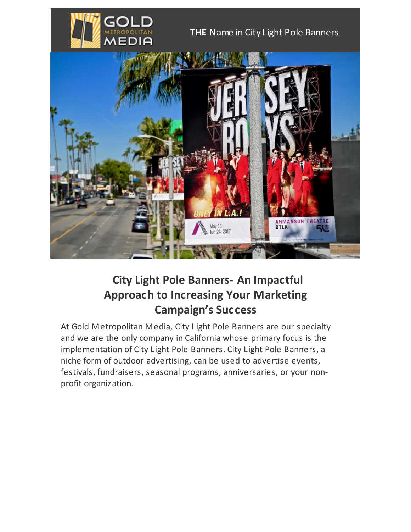

## **THE** Name in City Light Pole Banners



## **City Light Pole Banners- An Impactful Approach to Increasing Your Marketing Campaign's Success**

At Gold Metropolitan Media, City Light Pole Banners are our specialty and we are the only company in California whose primary focus is the implementation of City Light Pole Banners. City Light Pole Banners, a niche form of outdoor advertising, can be used to advertise events, festivals, fundraisers, seasonal programs, anniversaries, or your nonprofit organization.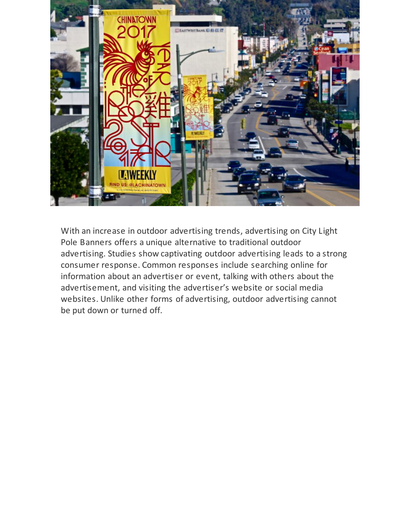

With an increase in outdoor advertising trends, advertising on City Light Pole Banners offers a unique alternative to traditional outdoor advertising. Studies show captivating outdoor advertising leads to a strong consumer response. Common responses include searching online for information about an advertiser or event, talking with others about the advertisement, and visiting the advertiser's website or social media websites. Unlike other forms of advertising, outdoor advertising cannot be put down or turned off.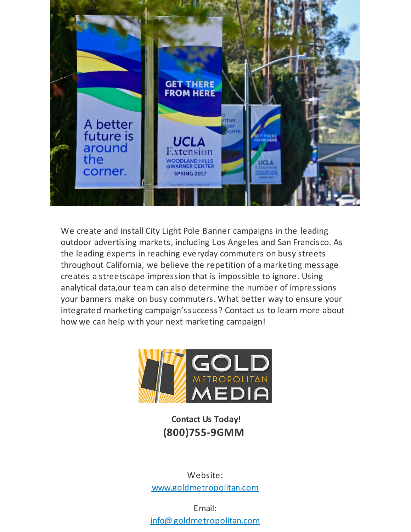

We create and install City Light Pole Banner campaigns in the leading outdoor advertising markets, including Los Angeles and San Francisco. As the leading experts in reaching everyday commuters on busy streets throughout California, we believe the repetition of a marketing message creates a streetscape impression that is impossible to ignore. Using analytical data,our team can also determine the number of impressions your banners make on busy commuters. What better way to ensure your integrated marketing campaign'ssuccess? Contact us to learn more about how we can help with your next marketing campaign!



**Contact Us Today! (800)755-9GMM**

Website: [www.goldmetropolitan.com](http://www.goldmetropolitan.com/)

Email: [info@goldmetropolitan.com](mailto:info@goldmetropolitan.com?subject=email query)